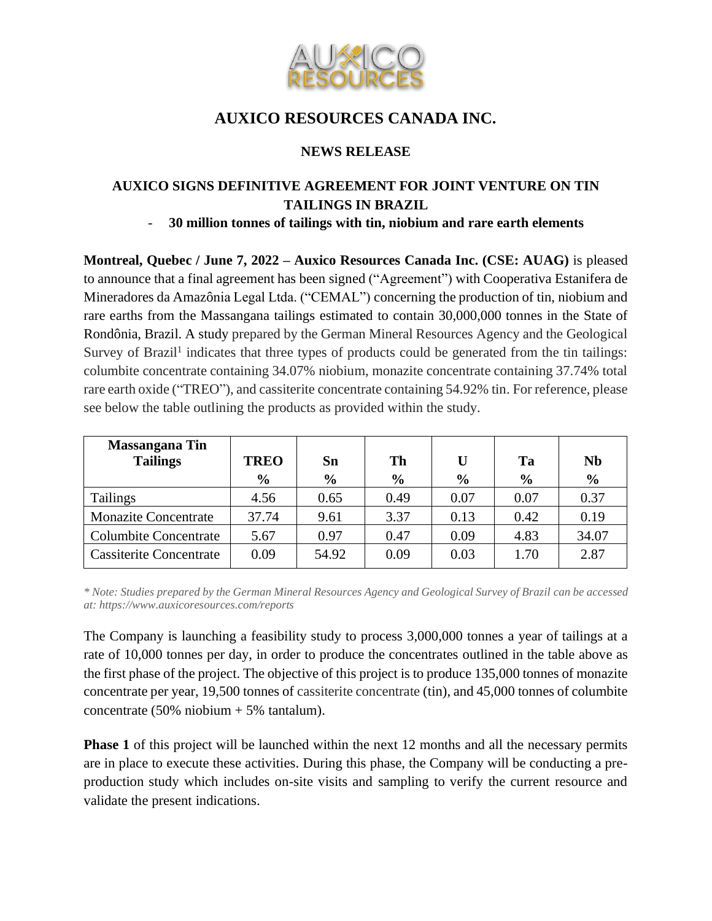

# **AUXICO RESOURCES CANADA INC.**

## **NEWS RELEASE**

## **AUXICO SIGNS DEFINITIVE AGREEMENT FOR JOINT VENTURE ON TIN TAILINGS IN BRAZIL**

### - **30 million tonnes of tailings with tin, niobium and rare earth elements**

**Montreal, Quebec / June 7, 2022 – Auxico Resources Canada Inc. (CSE: AUAG)** is pleased to announce that a final agreement has been signed ("Agreement") with Cooperativa Estanifera de Mineradores da Amazônia Legal Ltda. ("CEMAL") concerning the production of tin, niobium and rare earths from the Massangana tailings estimated to contain 30,000,000 tonnes in the State of Rondônia, Brazil. A study prepared by the German Mineral Resources Agency and the Geological Survey of Brazil<sup>1</sup> indicates that three types of products could be generated from the tin tailings: columbite concentrate containing 34.07% niobium, monazite concentrate containing 37.74% total rare earth oxide ("TREO"), and cassiterite concentrate containing 54.92% tin. For reference, please see below the table outlining the products as provided within the study.

| <b>Massangana Tin</b><br><b>Tailings</b> | <b>TREO</b><br>$\frac{6}{6}$ | Sn<br>$\frac{6}{6}$ | Th<br>$\frac{0}{0}$ | U<br>$\frac{6}{9}$ | Ta<br>$\frac{6}{9}$ | <b>Nb</b><br>$\frac{0}{0}$ |
|------------------------------------------|------------------------------|---------------------|---------------------|--------------------|---------------------|----------------------------|
| <b>Tailings</b>                          | 4.56                         | 0.65                | 0.49                | 0.07               | 0.07                | 0.37                       |
| <b>Monazite Concentrate</b>              | 37.74                        | 9.61                | 3.37                | 0.13               | 0.42                | 0.19                       |
| <b>Columbite Concentrate</b>             | 5.67                         | 0.97                | 0.47                | 0.09               | 4.83                | 34.07                      |
| <b>Cassiterite Concentrate</b>           | 0.09                         | 54.92               | 0.09                | 0.03               | 1.70                | 2.87                       |

*\* Note: Studies prepared by the German Mineral Resources Agency and Geological Survey of Brazil can be accessed at: https://www.auxicoresources.com/reports*

The Company is launching a feasibility study to process 3,000,000 tonnes a year of tailings at a rate of 10,000 tonnes per day, in order to produce the concentrates outlined in the table above as the first phase of the project. The objective of this project is to produce 135,000 tonnes of monazite concentrate per year, 19,500 tonnes of cassiterite concentrate (tin), and 45,000 tonnes of columbite concentrate (50% niobium + 5% tantalum).

**Phase 1** of this project will be launched within the next 12 months and all the necessary permits are in place to execute these activities. During this phase, the Company will be conducting a preproduction study which includes on-site visits and sampling to verify the current resource and validate the present indications.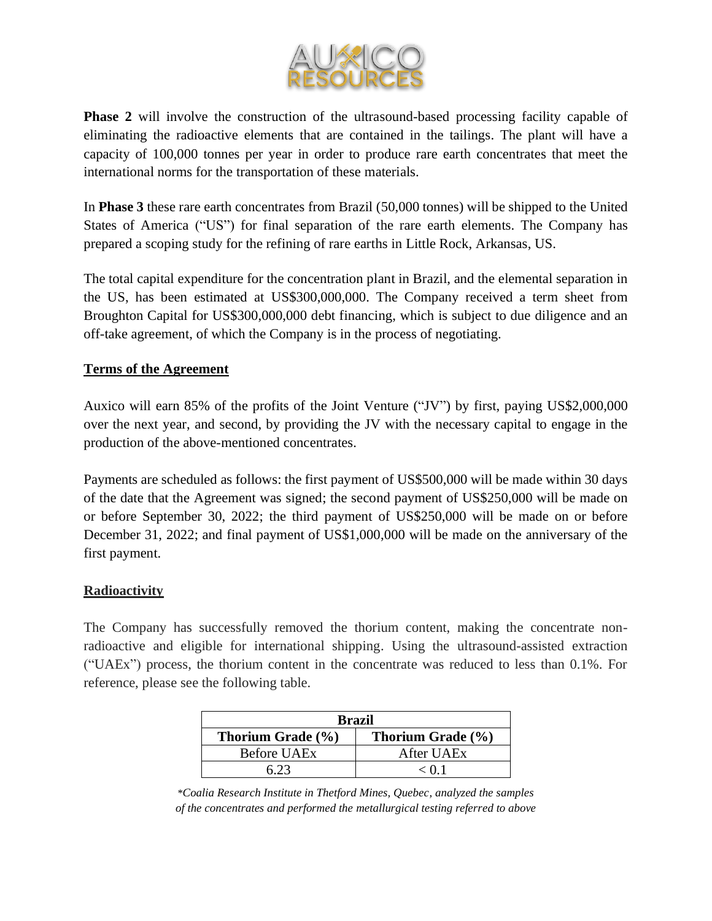

**Phase 2** will involve the construction of the ultrasound-based processing facility capable of eliminating the radioactive elements that are contained in the tailings. The plant will have a capacity of 100,000 tonnes per year in order to produce rare earth concentrates that meet the international norms for the transportation of these materials.

In **Phase 3** these rare earth concentrates from Brazil (50,000 tonnes) will be shipped to the United States of America ("US") for final separation of the rare earth elements. The Company has prepared a scoping study for the refining of rare earths in Little Rock, Arkansas, US.

The total capital expenditure for the concentration plant in Brazil, and the elemental separation in the US, has been estimated at US\$300,000,000. The Company received a term sheet from Broughton Capital for US\$300,000,000 debt financing, which is subject to due diligence and an off-take agreement, of which the Company is in the process of negotiating.

### **Terms of the Agreement**

Auxico will earn 85% of the profits of the Joint Venture ("JV") by first, paying US\$2,000,000 over the next year, and second, by providing the JV with the necessary capital to engage in the production of the above-mentioned concentrates.

Payments are scheduled as follows: the first payment of US\$500,000 will be made within 30 days of the date that the Agreement was signed; the second payment of US\$250,000 will be made on or before September 30, 2022; the third payment of US\$250,000 will be made on or before December 31, 2022; and final payment of US\$1,000,000 will be made on the anniversary of the first payment.

### **Radioactivity**

The Company has successfully removed the thorium content, making the concentrate nonradioactive and eligible for international shipping. Using the ultrasound-assisted extraction ("UAEx") process, the thorium content in the concentrate was reduced to less than 0.1%. For reference, please see the following table.

| <b>Brazil</b>      |                   |  |  |  |  |
|--------------------|-------------------|--|--|--|--|
| Thorium Grade (%)  | Thorium Grade (%) |  |  |  |  |
| <b>Before UAEx</b> | After UAEx        |  |  |  |  |
|                    | $\epsilon$ 0.1    |  |  |  |  |

*\*Coalia Research Institute in Thetford Mines, Quebec, analyzed the samples of the concentrates and performed the metallurgical testing referred to above*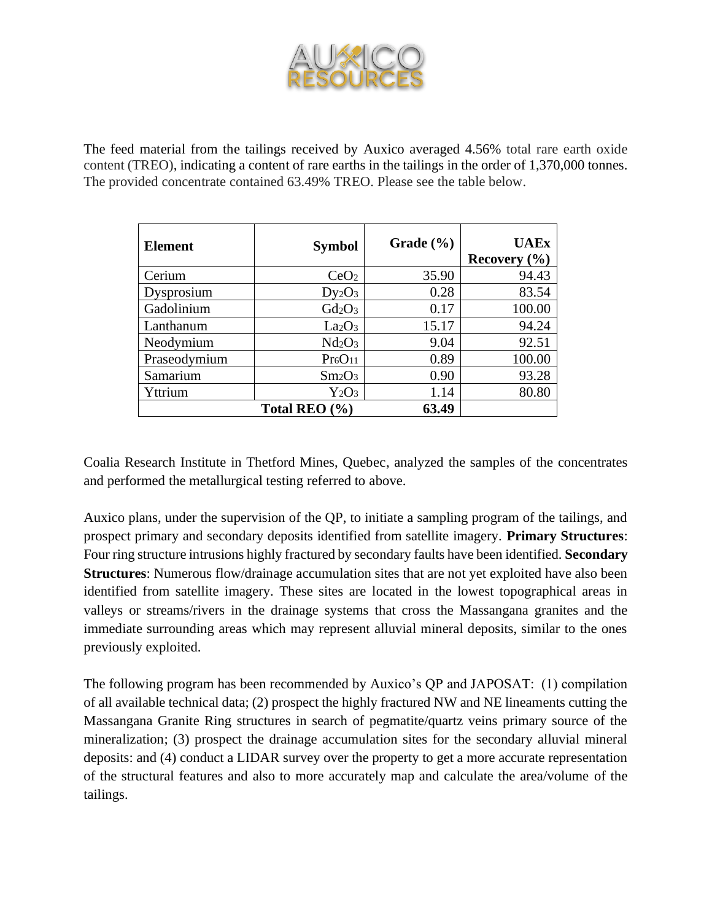

The feed material from the tailings received by Auxico averaged 4.56% total rare earth oxide content (TREO), indicating a content of rare earths in the tailings in the order of 1,370,000 tonnes. The provided concentrate contained 63.49% TREO. Please see the table below.

| <b>Element</b> | <b>Symbol</b>                   | Grade $(\% )$ | <b>UAEx</b><br>Recovery $(\% )$ |
|----------------|---------------------------------|---------------|---------------------------------|
| Cerium         | CeO <sub>2</sub>                | 35.90         | 94.43                           |
| Dysprosium     | $Dy_2O_3$                       | 0.28          | 83.54                           |
| Gadolinium     | $Gd_2O_3$                       | 0.17          | 100.00                          |
| Lanthanum      | La <sub>2</sub> O <sub>3</sub>  | 15.17         | 94.24                           |
| Neodymium      | Nd <sub>2</sub> O <sub>3</sub>  | 9.04          | 92.51                           |
| Praseodymium   | Pr <sub>6</sub> O <sub>11</sub> | 0.89          | 100.00                          |
| Samarium       | $Sm_2O_3$                       | 0.90          | 93.28                           |
| Yttrium        | $Y_2O_3$                        | 1.14          | 80.80                           |
|                | Total REO $(\% )$               | 63.49         |                                 |

Coalia Research Institute in Thetford Mines, Quebec, analyzed the samples of the concentrates and performed the metallurgical testing referred to above.

Auxico plans, under the supervision of the QP, to initiate a sampling program of the tailings, and prospect primary and secondary deposits identified from satellite imagery. **Primary Structures**: Four ring structure intrusions highly fractured by secondary faults have been identified. **Secondary Structures**: Numerous flow/drainage accumulation sites that are not yet exploited have also been identified from satellite imagery. These sites are located in the lowest topographical areas in valleys or streams/rivers in the drainage systems that cross the Massangana granites and the immediate surrounding areas which may represent alluvial mineral deposits, similar to the ones previously exploited.

The following program has been recommended by Auxico's QP and JAPOSAT: (1) compilation of all available technical data; (2) prospect the highly fractured NW and NE lineaments cutting the Massangana Granite Ring structures in search of pegmatite/quartz veins primary source of the mineralization; (3) prospect the drainage accumulation sites for the secondary alluvial mineral deposits: and (4) conduct a LIDAR survey over the property to get a more accurate representation of the structural features and also to more accurately map and calculate the area/volume of the tailings.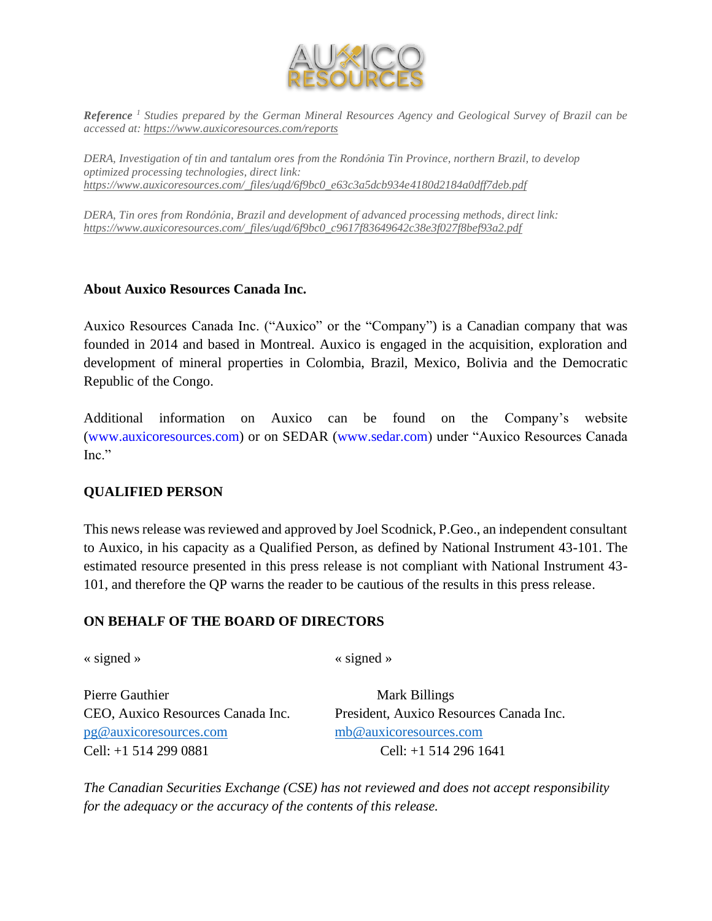

*Reference <sup>1</sup> Studies prepared by the German Mineral Resources Agency and Geological Survey of Brazil can be accessed at[: https://www.auxicoresources.com/reports](https://www.auxicoresources.com/reports)*

*DERA, Investigation of tin and tantalum ores from the Rondônia Tin Province, northern Brazil, to develop optimized processing technologies, direct link: [https://www.auxicoresources.com/\\_files/ugd/6f9bc0\\_e63c3a5dcb934e4180d2184a0dff7deb.pdf](https://www.auxicoresources.com/_files/ugd/6f9bc0_e63c3a5dcb934e4180d2184a0dff7deb.pdf)*

*DERA, Tin ores from Rondônia, Brazil and development of advanced processing methods, direct link: [https://www.auxicoresources.com/\\_files/ugd/6f9bc0\\_c9617f83649642c38e3f027f8bef93a2.pdf](https://www.auxicoresources.com/_files/ugd/6f9bc0_c9617f83649642c38e3f027f8bef93a2.pdf)*

#### **About Auxico Resources Canada Inc.**

Auxico Resources Canada Inc. ("Auxico" or the "Company") is a Canadian company that was founded in 2014 and based in Montreal. Auxico is engaged in the acquisition, exploration and development of mineral properties in Colombia, Brazil, Mexico, Bolivia and the Democratic Republic of the Congo.

Additional information on Auxico can be found on the Company's website (www.auxicoresources.com) or on SEDAR (www.sedar.com) under "Auxico Resources Canada Inc."

#### **QUALIFIED PERSON**

This news release was reviewed and approved by Joel Scodnick, P.Geo., an independent consultant to Auxico, in his capacity as a Qualified Person, as defined by National Instrument 43-101. The estimated resource presented in this press release is not compliant with National Instrument 43- 101, and therefore the QP warns the reader to be cautious of the results in this press release.

#### **ON BEHALF OF THE BOARD OF DIRECTORS**

« signed » « signed »

Pierre Gauthier Mark Billings [pg@auxicoresources.com](mailto:pg@auxicoresources.com) [mb@auxicoresources.com](mailto:mb@auxicoresources.com) Cell: +1 514 299 0881 Cell: +1 514 296 1641

CEO, Auxico Resources Canada Inc. President, Auxico Resources Canada Inc.

*The Canadian Securities Exchange (CSE) has not reviewed and does not accept responsibility for the adequacy or the accuracy of the contents of this release.*